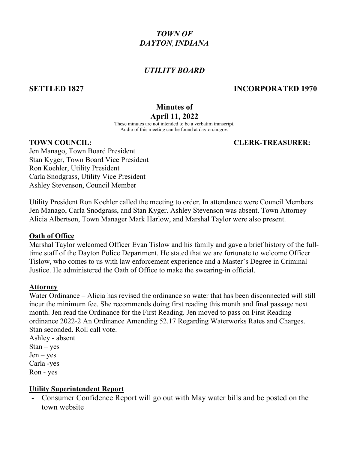# *TOWN OF DAYTON*, *INDIANA*

# *UTILITY BOARD*

# **SETTLED 1827 INCORPORATED 1970**

## **Minutes of April 11, 2022**

These minutes are not intended to be a verbatim transcript. Audio of this meeting can be found at dayton.in.gov.

## **TOWN COUNCIL: CLERK-TREASURER:**

Jen Manago, Town Board President Stan Kyger, Town Board Vice President Ron Koehler, Utility President Carla Snodgrass, Utility Vice President Ashley Stevenson, Council Member

Utility President Ron Koehler called the meeting to order. In attendance were Council Members Jen Manago, Carla Snodgrass, and Stan Kyger. Ashley Stevenson was absent. Town Attorney Alicia Albertson, Town Manager Mark Harlow, and Marshal Taylor were also present.

### **Oath of Office**

Marshal Taylor welcomed Officer Evan Tislow and his family and gave a brief history of the fulltime staff of the Dayton Police Department. He stated that we are fortunate to welcome Officer Tislow, who comes to us with law enforcement experience and a Master's Degree in Criminal Justice. He administered the Oath of Office to make the swearing-in official.

### **Attorney**

Water Ordinance – Alicia has revised the ordinance so water that has been disconnected will still incur the minimum fee. She recommends doing first reading this month and final passage next month. Jen read the Ordinance for the First Reading. Jen moved to pass on First Reading ordinance 2022-2 An Ordinance Amending 52.17 Regarding Waterworks Rates and Charges. Stan seconded. Roll call vote.

Ashley - absent  $Stan - yes$  $Jen - yes$ Carla -yes Ron - yes

## **Utility Superintendent Report**

- Consumer Confidence Report will go out with May water bills and be posted on the town website